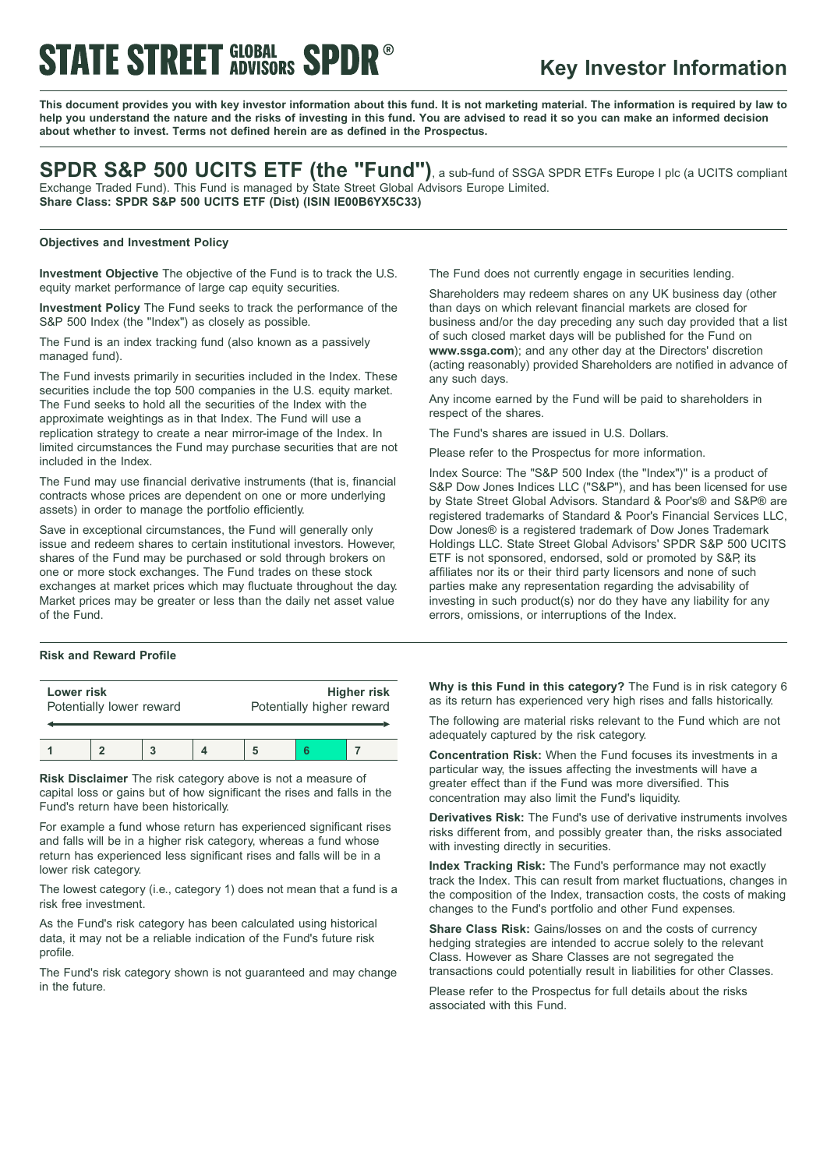# **STATE STREET GLOBAL SPDR**

# **Key Investor Information**

This document provides you with key investor information about this fund. It is not marketing material. The information is required by law to help you understand the nature and the risks of investing in this fund. You are advised to read it so you can make an informed decision **about whether to invest. Terms not defined herein are as defined in the Prospectus.**

| SPDR S&P 500 UCITS ETF (the "Fund"), a sub-fund of SSGA SPDR ETFs Europe I plc (a UCITS compliant |
|---------------------------------------------------------------------------------------------------|
| Exchange Traded Fund). This Fund is managed by State Street Global Advisors Europe Limited.       |
| Share Class: SPDR S&P 500 UCITS ETF (Dist) (ISIN IE00B6YX5C33)                                    |

# **Objectives and Investment Policy**

**Investment Objective** The objective of the Fund is to track the U.S. equity market performance of large cap equity securities.

**Investment Policy** The Fund seeks to track the performance of the S&P 500 Index (the "Index") as closely as possible.

The Fund is an index tracking fund (also known as a passively managed fund).

The Fund invests primarily in securities included in the Index. These securities include the top 500 companies in the U.S. equity market. The Fund seeks to hold all the securities of the Index with the approximate weightings as in that Index. The Fund will use a replication strategy to create a near mirror-image of the Index. In limited circumstances the Fund may purchase securities that are not included in the Index.

The Fund may use financial derivative instruments (that is, financial contracts whose prices are dependent on one or more underlying assets) in order to manage the portfolio efficiently.

Save in exceptional circumstances, the Fund will generally only issue and redeem shares to certain institutional investors. However, shares of the Fund may be purchased or sold through brokers on one or more stock exchanges. The Fund trades on these stock exchanges at market prices which may fluctuate throughout the day. Market prices may be greater or less than the daily net asset value of the Fund.

### **Risk and Reward Profile**

| Lower risk<br>Potentially lower reward |  |  | <b>Higher risk</b><br>Potentially higher reward |  |  |
|----------------------------------------|--|--|-------------------------------------------------|--|--|
|                                        |  |  |                                                 |  |  |

**Risk Disclaimer** The risk category above is not a measure of capital loss or gains but of how significant the rises and falls in the Fund's return have been historically.

For example a fund whose return has experienced significant rises and falls will be in a higher risk category, whereas a fund whose return has experienced less significant rises and falls will be in a lower risk category.

The lowest category (i.e., category 1) does not mean that a fund is a risk free investment.

As the Fund's risk category has been calculated using historical data, it may not be a reliable indication of the Fund's future risk profile.

The Fund's risk category shown is not guaranteed and may change in the future.

The Fund does not currently engage in securities lending.

Shareholders may redeem shares on any UK business day (other than days on which relevant financial markets are closed for business and/or the day preceding any such day provided that a list of such closed market days will be published for the Fund on **www.ssga.com**); and any other day at the Directors' discretion (acting reasonably) provided Shareholders are notified in advance of any such days.

Any income earned by the Fund will be paid to shareholders in respect of the shares.

The Fund's shares are issued in U.S. Dollars.

Please refer to the Prospectus for more information.

Index Source: The "S&P 500 Index (the "Index")" is a product of S&P Dow Jones Indices LLC ("S&P"), and has been licensed for use by State Street Global Advisors. Standard & Poor's® and S&P® are registered trademarks of Standard & Poor's Financial Services LLC, Dow Jones® is a registered trademark of Dow Jones Trademark Holdings LLC. State Street Global Advisors' SPDR S&P 500 UCITS ETF is not sponsored, endorsed, sold or promoted by S&P, its affiliates nor its or their third party licensors and none of such parties make any representation regarding the advisability of investing in such product(s) nor do they have any liability for any errors, omissions, or interruptions of the Index.

**Why is this Fund in this category?** The Fund is in risk category 6 as its return has experienced very high rises and falls historically.

The following are material risks relevant to the Fund which are not adequately captured by the risk category.

**Concentration Risk:** When the Fund focuses its investments in a particular way, the issues affecting the investments will have a greater effect than if the Fund was more diversified. This concentration may also limit the Fund's liquidity.

**Derivatives Risk:** The Fund's use of derivative instruments involves risks different from, and possibly greater than, the risks associated with investing directly in securities.

**Index Tracking Risk:** The Fund's performance may not exactly track the Index. This can result from market fluctuations, changes in the composition of the Index, transaction costs, the costs of making changes to the Fund's portfolio and other Fund expenses.

**Share Class Risk:** Gains/losses on and the costs of currency hedging strategies are intended to accrue solely to the relevant Class. However as Share Classes are not segregated the transactions could potentially result in liabilities for other Classes.

Please refer to the Prospectus for full details about the risks associated with this Fund.